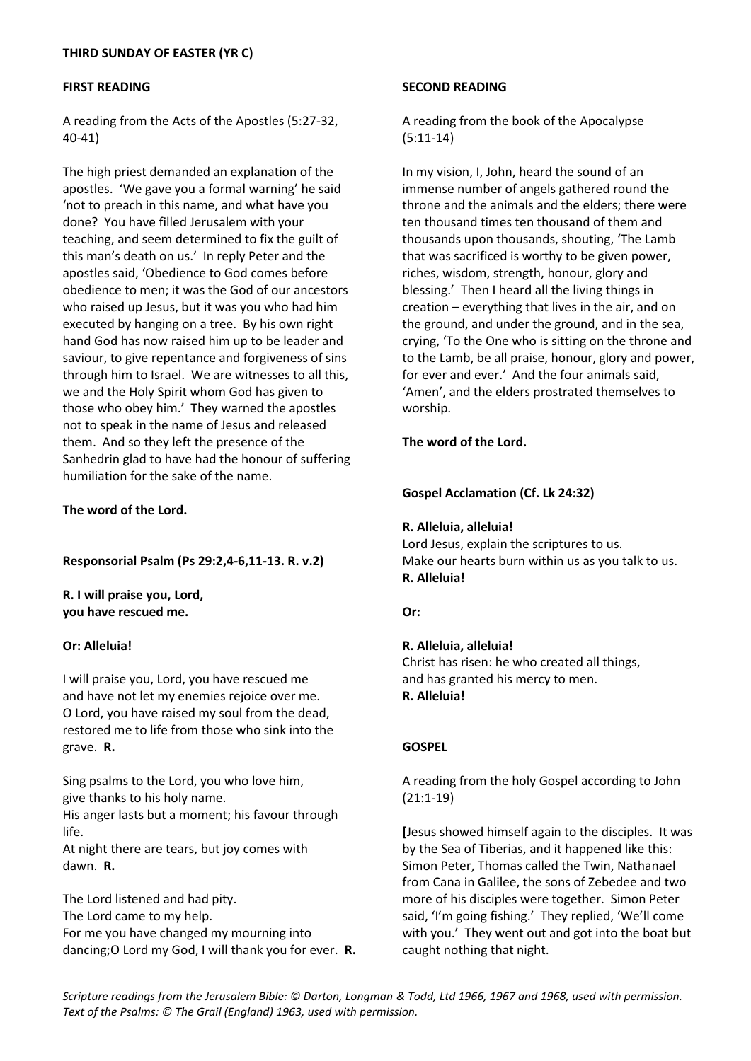# **FIRST READING**

A reading from the Acts of the Apostles (5:27-32, 40-41)

The high priest demanded an explanation of the apostles. 'We gave you a formal warning' he said 'not to preach in this name, and what have you done? You have filled Jerusalem with your teaching, and seem determined to fix the guilt of this man's death on us.' In reply Peter and the apostles said, 'Obedience to God comes before obedience to men; it was the God of our ancestors who raised up Jesus, but it was you who had him executed by hanging on a tree. By his own right hand God has now raised him up to be leader and saviour, to give repentance and forgiveness of sins through him to Israel. We are witnesses to all this, we and the Holy Spirit whom God has given to those who obey him.' They warned the apostles not to speak in the name of Jesus and released them. And so they left the presence of the Sanhedrin glad to have had the honour of suffering humiliation for the sake of the name.

# **The word of the Lord.**

**Responsorial Psalm (Ps 29:2,4-6,11-13. R. v.2)**

**R. I will praise you, Lord, you have rescued me.**

# **Or: Alleluia!**

I will praise you, Lord, you have rescued me and have not let my enemies rejoice over me. O Lord, you have raised my soul from the dead, restored me to life from those who sink into the grave. **R.**

Sing psalms to the Lord, you who love him, give thanks to his holy name.

His anger lasts but a moment; his favour through life.

At night there are tears, but joy comes with dawn. **R.**

The Lord listened and had pity. The Lord came to my help. For me you have changed my mourning into dancing;O Lord my God, I will thank you for ever. **R.**

#### **SECOND READING**

A reading from the book of the Apocalypse (5:11-14)

In my vision, I, John, heard the sound of an immense number of angels gathered round the throne and the animals and the elders; there were ten thousand times ten thousand of them and thousands upon thousands, shouting, 'The Lamb that was sacrificed is worthy to be given power, riches, wisdom, strength, honour, glory and blessing.' Then I heard all the living things in creation – everything that lives in the air, and on the ground, and under the ground, and in the sea, crying, 'To the One who is sitting on the throne and to the Lamb, be all praise, honour, glory and power, for ever and ever.' And the four animals said, 'Amen', and the elders prostrated themselves to worship.

# **The word of the Lord.**

**Gospel Acclamation (Cf. Lk 24:32)**

#### **R. Alleluia, alleluia!**

Lord Jesus, explain the scriptures to us. Make our hearts burn within us as you talk to us. **R. Alleluia!**

# **Or:**

# **R. Alleluia, alleluia!**

Christ has risen: he who created all things, and has granted his mercy to men. **R. Alleluia!**

# **GOSPEL**

A reading from the holy Gospel according to John (21:1-19)

**[**Jesus showed himself again to the disciples. It was by the Sea of Tiberias, and it happened like this: Simon Peter, Thomas called the Twin, Nathanael from Cana in Galilee, the sons of Zebedee and two more of his disciples were together. Simon Peter said, 'I'm going fishing.' They replied, 'We'll come with you.' They went out and got into the boat but caught nothing that night.

*Scripture readings from the Jerusalem Bible: © Darton, Longman & Todd, Ltd 1966, 1967 and 1968, used with permission. Text of the Psalms: © The Grail (England) 1963, used with permission.*